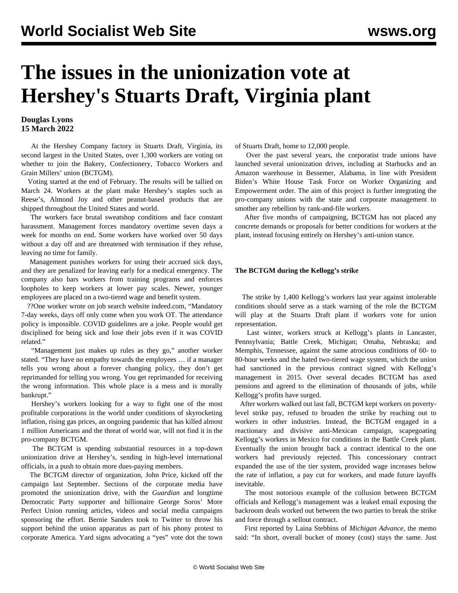# **The issues in the unionization vote at Hershey's Stuarts Draft, Virginia plant**

## **Douglas Lyons 15 March 2022**

 At the Hershey Company factory in Stuarts Draft, Virginia, its second largest in the United States, over 1,300 workers are voting on whether to join the Bakery, Confectionery, Tobacco Workers and Grain Millers' union (BCTGM).

 Voting started at the end of February. The results will be tallied on March 24. Workers at the plant make Hershey's staples such as Reese's, Almond Joy and other peanut-based products that are shipped throughout the United States and world.

 The workers face brutal sweatshop conditions and face constant harassment. Management forces mandatory overtime seven days a week for months on end. Some workers have worked over 50 days without a day off and are threatened with termination if they refuse, leaving no time for family.

 Management punishes workers for using their accrued sick days, and they are penalized for leaving early for a medical emergency. The company also bars workers from training programs and enforces loopholes to keep workers at lower pay scales. Newer, younger employees are placed on a two-tiered wage and benefit system.

 ??One worker wrote on job search website indeed.com, "Mandatory 7-day weeks, days off only come when you work OT. The attendance policy is impossible. COVID guidelines are a joke. People would get disciplined for being sick and lose their jobs even if it was COVID related."

 "Management just makes up rules as they go," another worker stated. "They have no empathy towards the employees … if a manager tells you wrong about a forever changing policy, they don't get reprimanded for telling you wrong. You get reprimanded for receiving the wrong information. This whole place is a mess and is morally bankrupt."

 Hershey's workers looking for a way to fight one of the most profitable corporations in the world under conditions of skyrocketing inflation, rising gas prices, an ongoing pandemic that has killed almost 1 million Americans and the threat of world war, will not find it in the pro-company BCTGM.

 The BCTGM is spending substantial resources in a top-down unionization drive at Hershey's, sending in high-level international officials, in a push to obtain more dues-paying members.

 The BCTGM director of organization, John Price, kicked off the campaign last September. Sections of the corporate media have promoted the unionization drive, with the *Guardian* and longtime Democratic Party supporter and billionaire George Soros' More Perfect Union running articles, videos and social media campaigns sponsoring the effort. Bernie Sanders took to Twitter to throw his support behind the union apparatus as part of his phony protest to corporate America. Yard signs advocating a "yes" vote dot the town of Stuarts Draft, home to 12,000 people.

 Over the past several years, the corporatist trade unions have launched several unionization drives, including at Starbucks and an Amazon warehouse in Bessemer, Alabama, in line with President Biden's White House Task Force on Worker Organizing and Empowerment order. The aim of this project is further integrating the pro-company unions with the state and corporate management to smother any rebellion by rank-and-file workers.

 After five months of campaigning, BCTGM has not placed any concrete demands or proposals for better conditions for workers at the plant, instead focusing entirely on Hershey's anti-union stance.

### **The BCTGM during the Kellogg's strike**

 The strike by 1,400 Kellogg's workers last year against intolerable conditions should serve as a stark warning of the role the BCTGM will play at the Stuarts Draft plant if workers vote for union representation.

 Last winter, workers struck at Kellogg's plants in Lancaster, Pennsylvania; Battle Creek, Michigan; Omaha, Nebraska; and Memphis, Tennessee, against the same atrocious conditions of 60- to 80-hour weeks and the hated two-tiered wage system, which the union had sanctioned in the previous contract signed with Kellogg's management in 2015. Over several decades BCTGM has axed pensions and agreed to the elimination of thousands of jobs, while Kellogg's profits have surged.

 After workers walked out last fall, BCTGM kept workers on povertylevel strike pay, refused to broaden the strike by reaching out to workers in other industries. Instead, the BCTGM engaged in a reactionary and divisive anti-Mexican campaign, scapegoating Kellogg's workers in Mexico for conditions in the Battle Creek plant. Eventually the union brought back a contract identical to the one workers had previously rejected. This concessionary contract expanded the use of the tier system, provided wage increases below the rate of inflation, a pay cut for workers, and made future layoffs inevitable.

 The most notorious example of the collusion between BCTGM officials and Kellogg's management was a leaked email exposing the backroom deals worked out between the two parties to break the strike and force through a sellout contract.

 First reported by Laina Stebbins of *Michigan Advance*, the memo said: "In short, overall bucket of money (cost) stays the same. Just